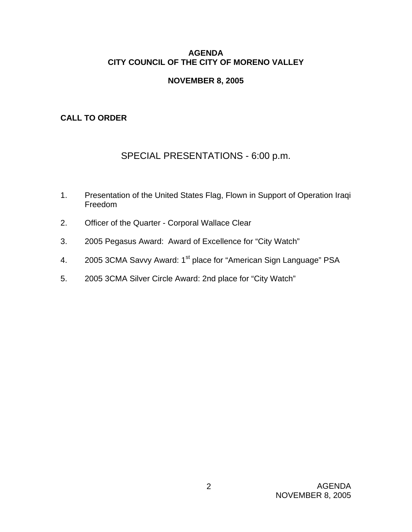### **AGENDA CITY COUNCIL OF THE CITY OF MORENO VALLEY**

### **NOVEMBER 8, 2005**

# **CALL TO ORDER**

# SPECIAL PRESENTATIONS - 6:00 p.m.

- 1. Presentation of the United States Flag, Flown in Support of Operation Iraqi Freedom
- 2. Officer of the Quarter Corporal Wallace Clear
- 3. 2005 Pegasus Award: Award of Excellence for "City Watch"
- 4. 2005 3CMA Savvy Award: 1<sup>st</sup> place for "American Sign Language" PSA
- 5. 2005 3CMA Silver Circle Award: 2nd place for "City Watch"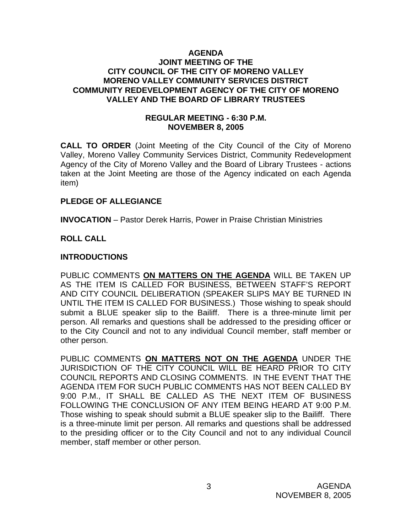### **AGENDA JOINT MEETING OF THE CITY COUNCIL OF THE CITY OF MORENO VALLEY MORENO VALLEY COMMUNITY SERVICES DISTRICT COMMUNITY REDEVELOPMENT AGENCY OF THE CITY OF MORENO VALLEY AND THE BOARD OF LIBRARY TRUSTEES**

### **REGULAR MEETING - 6:30 P.M. NOVEMBER 8, 2005**

**CALL TO ORDER** (Joint Meeting of the City Council of the City of Moreno Valley, Moreno Valley Community Services District, Community Redevelopment Agency of the City of Moreno Valley and the Board of Library Trustees - actions taken at the Joint Meeting are those of the Agency indicated on each Agenda item)

### **PLEDGE OF ALLEGIANCE**

**INVOCATION** – Pastor Derek Harris, Power in Praise Christian Ministries

# **ROLL CALL**

### **INTRODUCTIONS**

PUBLIC COMMENTS **ON MATTERS ON THE AGENDA** WILL BE TAKEN UP AS THE ITEM IS CALLED FOR BUSINESS, BETWEEN STAFF'S REPORT AND CITY COUNCIL DELIBERATION (SPEAKER SLIPS MAY BE TURNED IN UNTIL THE ITEM IS CALLED FOR BUSINESS.) Those wishing to speak should submit a BLUE speaker slip to the Bailiff. There is a three-minute limit per person. All remarks and questions shall be addressed to the presiding officer or to the City Council and not to any individual Council member, staff member or other person.

PUBLIC COMMENTS **ON MATTERS NOT ON THE AGENDA** UNDER THE JURISDICTION OF THE CITY COUNCIL WILL BE HEARD PRIOR TO CITY COUNCIL REPORTS AND CLOSING COMMENTS. IN THE EVENT THAT THE AGENDA ITEM FOR SUCH PUBLIC COMMENTS HAS NOT BEEN CALLED BY 9:00 P.M., IT SHALL BE CALLED AS THE NEXT ITEM OF BUSINESS FOLLOWING THE CONCLUSION OF ANY ITEM BEING HEARD AT 9:00 P.M. Those wishing to speak should submit a BLUE speaker slip to the Bailiff. There is a three-minute limit per person. All remarks and questions shall be addressed to the presiding officer or to the City Council and not to any individual Council member, staff member or other person.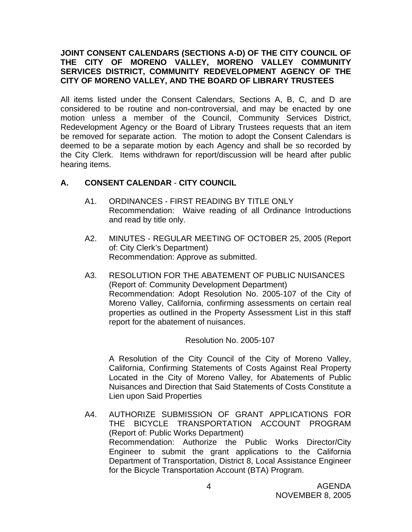### **JOINT CONSENT CALENDARS (SECTIONS A-D) OF THE CITY COUNCIL OF THE CITY OF MORENO VALLEY, MORENO VALLEY COMMUNITY SERVICES DISTRICT, COMMUNITY REDEVELOPMENT AGENCY OF THE CITY OF MORENO VALLEY, AND THE BOARD OF LIBRARY TRUSTEES**

All items listed under the Consent Calendars, Sections A, B, C, and D are considered to be routine and non-controversial, and may be enacted by one motion unless a member of the Council, Community Services District, Redevelopment Agency or the Board of Library Trustees requests that an item be removed for separate action. The motion to adopt the Consent Calendars is deemed to be a separate motion by each Agency and shall be so recorded by the City Clerk. Items withdrawn for report/discussion will be heard after public hearing items.

# **A. CONSENT CALENDAR** - **CITY COUNCIL**

- A1. ORDINANCES FIRST READING BY TITLE ONLY Recommendation: Waive reading of all Ordinance Introductions and read by title only.
- A2. MINUTES REGULAR MEETING OF OCTOBER 25, 2005 (Report of: City Clerk's Department) Recommendation: Approve as submitted.
- A3. RESOLUTION FOR THE ABATEMENT OF PUBLIC NUISANCES (Report of: Community Development Department) Recommendation: Adopt Resolution No. 2005-107 of the City of Moreno Valley, California, confirming assessments on certain real properties as outlined in the Property Assessment List in this staff report for the abatement of nuisances.

Resolution No. 2005-107

A Resolution of the City Council of the City of Moreno Valley, California, Confirming Statements of Costs Against Real Property Located in the City of Moreno Valley, for Abatements of Public Nuisances and Direction that Said Statements of Costs Constitute a Lien upon Said Properties

A4. AUTHORIZE SUBMISSION OF GRANT APPLICATIONS FOR THE BICYCLE TRANSPORTATION ACCOUNT PROGRAM (Report of: Public Works Department) Recommendation: Authorize the Public Works Director/City Engineer to submit the grant applications to the California Department of Transportation, District 8, Local Assistance Engineer for the Bicycle Transportation Account (BTA) Program.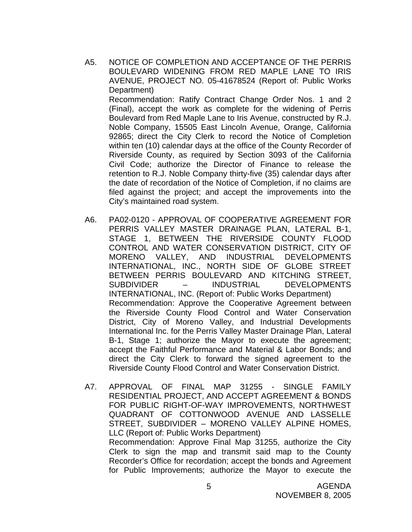A5. NOTICE OF COMPLETION AND ACCEPTANCE OF THE PERRIS BOULEVARD WIDENING FROM RED MAPLE LANE TO IRIS AVENUE, PROJECT NO. 05-41678524 (Report of: Public Works Department)

 Recommendation: Ratify Contract Change Order Nos. 1 and 2 (Final), accept the work as complete for the widening of Perris Boulevard from Red Maple Lane to Iris Avenue, constructed by R.J. Noble Company, 15505 East Lincoln Avenue, Orange, California 92865; direct the City Clerk to record the Notice of Completion within ten (10) calendar days at the office of the County Recorder of Riverside County, as required by Section 3093 of the California Civil Code; authorize the Director of Finance to release the retention to R.J. Noble Company thirty-five (35) calendar days after the date of recordation of the Notice of Completion, if no claims are filed against the project; and accept the improvements into the City's maintained road system.

- A6. PA02-0120 APPROVAL OF COOPERATIVE AGREEMENT FOR PERRIS VALLEY MASTER DRAINAGE PLAN, LATERAL B-1, STAGE 1, BETWEEN THE RIVERSIDE COUNTY FLOOD CONTROL AND WATER CONSERVATION DISTRICT, CITY OF MORENO VALLEY, AND INDUSTRIAL DEVELOPMENTS INTERNATIONAL, INC., NORTH SIDE OF GLOBE STREET BETWEEN PERRIS BOULEVARD AND KITCHING STREET, SUBDIVIDER – INDUSTRIAL DEVELOPMENTS INTERNATIONAL, INC. (Report of: Public Works Department) Recommendation: Approve the Cooperative Agreement between the Riverside County Flood Control and Water Conservation District, City of Moreno Valley, and Industrial Developments International Inc. for the Perris Valley Master Drainage Plan, Lateral B-1, Stage 1; authorize the Mayor to execute the agreement; accept the Faithful Performance and Material & Labor Bonds; and direct the City Clerk to forward the signed agreement to the Riverside County Flood Control and Water Conservation District.
- A7. APPROVAL OF FINAL MAP 31255 SINGLE FAMILY RESIDENTIAL PROJECT, AND ACCEPT AGREEMENT & BONDS FOR PUBLIC RIGHT-OF-WAY IMPROVEMENTS, NORTHWEST QUADRANT OF COTTONWOOD AVENUE AND LASSELLE STREET, SUBDIVIDER – MORENO VALLEY ALPINE HOMES, LLC (Report of: Public Works Department) Recommendation: Approve Final Map 31255, authorize the City Clerk to sign the map and transmit said map to the County Recorder's Office for recordation; accept the bonds and Agreement for Public Improvements; authorize the Mayor to execute the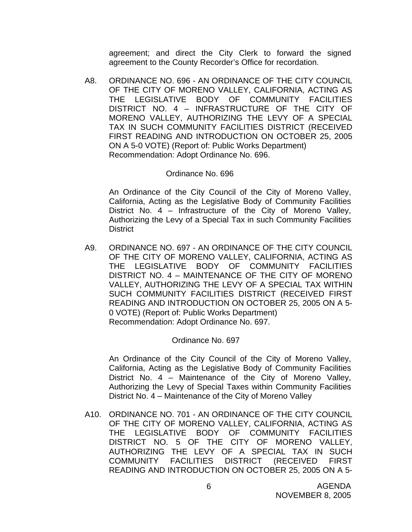agreement; and direct the City Clerk to forward the signed agreement to the County Recorder's Office for recordation.

A8. ORDINANCE NO. 696 - AN ORDINANCE OF THE CITY COUNCIL OF THE CITY OF MORENO VALLEY, CALIFORNIA, ACTING AS THE LEGISLATIVE BODY OF COMMUNITY FACILITIES DISTRICT NO. 4 – INFRASTRUCTURE OF THE CITY OF MORENO VALLEY, AUTHORIZING THE LEVY OF A SPECIAL TAX IN SUCH COMMUNITY FACILITIES DISTRICT (RECEIVED FIRST READING AND INTRODUCTION ON OCTOBER 25, 2005 ON A 5-0 VOTE) (Report of: Public Works Department) Recommendation: Adopt Ordinance No. 696.

#### Ordinance No. 696

An Ordinance of the City Council of the City of Moreno Valley, California, Acting as the Legislative Body of Community Facilities District No. 4 – Infrastructure of the City of Moreno Valley, Authorizing the Levy of a Special Tax in such Community Facilities **District** 

A9. ORDINANCE NO. 697 - AN ORDINANCE OF THE CITY COUNCIL OF THE CITY OF MORENO VALLEY, CALIFORNIA, ACTING AS THE LEGISLATIVE BODY OF COMMUNITY FACILITIES DISTRICT NO. 4 – MAINTENANCE OF THE CITY OF MORENO VALLEY, AUTHORIZING THE LEVY OF A SPECIAL TAX WITHIN SUCH COMMUNITY FACILITIES DISTRICT (RECEIVED FIRST READING AND INTRODUCTION ON OCTOBER 25, 2005 ON A 5- 0 VOTE) (Report of: Public Works Department) Recommendation: Adopt Ordinance No. 697.

### Ordinance No. 697

 An Ordinance of the City Council of the City of Moreno Valley, California, Acting as the Legislative Body of Community Facilities District No. 4 – Maintenance of the City of Moreno Valley, Authorizing the Levy of Special Taxes within Community Facilities District No. 4 – Maintenance of the City of Moreno Valley

A10. ORDINANCE NO. 701 - AN ORDINANCE OF THE CITY COUNCIL OF THE CITY OF MORENO VALLEY, CALIFORNIA, ACTING AS THE LEGISLATIVE BODY OF COMMUNITY FACILITIES DISTRICT NO. 5 OF THE CITY OF MORENO VALLEY, AUTHORIZING THE LEVY OF A SPECIAL TAX IN SUCH COMMUNITY FACILITIES DISTRICT (RECEIVED FIRST READING AND INTRODUCTION ON OCTOBER 25, 2005 ON A 5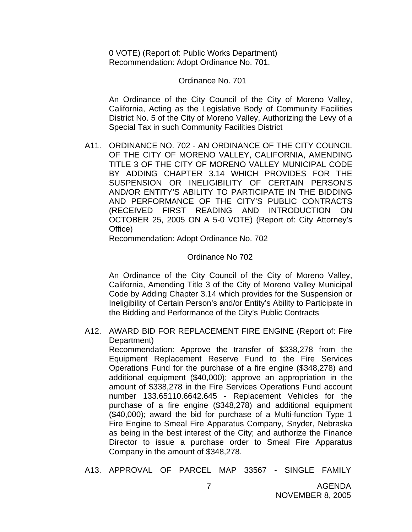0 VOTE) (Report of: Public Works Department) Recommendation: Adopt Ordinance No. 701.

#### Ordinance No. 701

An Ordinance of the City Council of the City of Moreno Valley, California, Acting as the Legislative Body of Community Facilities District No. 5 of the City of Moreno Valley, Authorizing the Levy of a Special Tax in such Community Facilities District

A11. ORDINANCE NO. 702 - AN ORDINANCE OF THE CITY COUNCIL OF THE CITY OF MORENO VALLEY, CALIFORNIA, AMENDING TITLE 3 OF THE CITY OF MORENO VALLEY MUNICIPAL CODE BY ADDING CHAPTER 3.14 WHICH PROVIDES FOR THE SUSPENSION OR INELIGIBILITY OF CERTAIN PERSON'S AND/OR ENTITY'S ABILITY TO PARTICIPATE IN THE BIDDING AND PERFORMANCE OF THE CITY'S PUBLIC CONTRACTS (RECEIVED FIRST READING AND INTRODUCTION ON OCTOBER 25, 2005 ON A 5-0 VOTE) (Report of: City Attorney's Office)

Recommendation: Adopt Ordinance No. 702

#### Ordinance No 702

An Ordinance of the City Council of the City of Moreno Valley, California, Amending Title 3 of the City of Moreno Valley Municipal Code by Adding Chapter 3.14 which provides for the Suspension or Ineligibility of Certain Person's and/or Entity's Ability to Participate in the Bidding and Performance of the City's Public Contracts

A12. AWARD BID FOR REPLACEMENT FIRE ENGINE (Report of: Fire Department)

 Recommendation: Approve the transfer of \$338,278 from the Equipment Replacement Reserve Fund to the Fire Services Operations Fund for the purchase of a fire engine (\$348,278) and additional equipment (\$40,000); approve an appropriation in the amount of \$338,278 in the Fire Services Operations Fund account number 133.65110.6642.645 - Replacement Vehicles for the purchase of a fire engine (\$348,278) and additional equipment (\$40,000); award the bid for purchase of a Multi-function Type 1 Fire Engine to Smeal Fire Apparatus Company, Snyder, Nebraska as being in the best interest of the City; and authorize the Finance Director to issue a purchase order to Smeal Fire Apparatus Company in the amount of \$348,278.

A13. APPROVAL OF PARCEL MAP 33567 - SINGLE FAMILY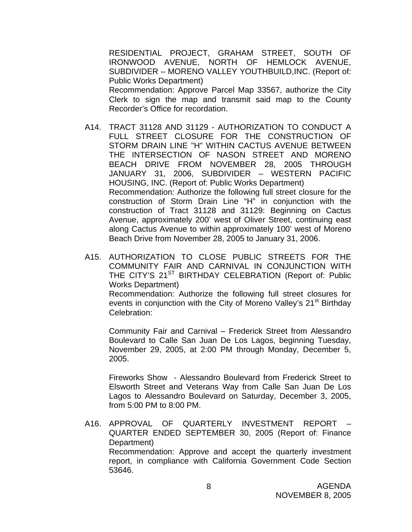RESIDENTIAL PROJECT, GRAHAM STREET, SOUTH OF IRONWOOD AVENUE, NORTH OF HEMLOCK AVENUE, SUBDIVIDER – MORENO VALLEY YOUTHBUILD,INC. (Report of: Public Works Department) Recommendation: Approve Parcel Map 33567, authorize the City Clerk to sign the map and transmit said map to the County Recorder's Office for recordation.

- A14. TRACT 31128 AND 31129 AUTHORIZATION TO CONDUCT A FULL STREET CLOSURE FOR THE CONSTRUCTION OF STORM DRAIN LINE "H" WITHIN CACTUS AVENUE BETWEEN THE INTERSECTION OF NASON STREET AND MORENO BEACH DRIVE FROM NOVEMBER 28, 2005 THROUGH JANUARY 31, 2006, SUBDIVIDER – WESTERN PACIFIC HOUSING, INC. (Report of: Public Works Department) Recommendation: Authorize the following full street closure for the construction of Storm Drain Line "H" in conjunction with the construction of Tract 31128 and 31129: Beginning on Cactus Avenue, approximately 200' west of Oliver Street, continuing east along Cactus Avenue to within approximately 100' west of Moreno Beach Drive from November 28, 2005 to January 31, 2006.
- A15. AUTHORIZATION TO CLOSE PUBLIC STREETS FOR THE COMMUNITY FAIR AND CARNIVAL IN CONJUNCTION WITH THE CITY'S 21<sup>ST</sup> BIRTHDAY CELEBRATION (Report of: Public Works Department)

 Recommendation: Authorize the following full street closures for events in conjunction with the City of Moreno Valley's 21<sup>st</sup> Birthday Celebration:

 Community Fair and Carnival – Frederick Street from Alessandro Boulevard to Calle San Juan De Los Lagos, beginning Tuesday, November 29, 2005, at 2:00 PM through Monday, December 5, 2005.

 Fireworks Show - Alessandro Boulevard from Frederick Street to Elsworth Street and Veterans Way from Calle San Juan De Los Lagos to Alessandro Boulevard on Saturday, December 3, 2005, from 5:00 PM to 8:00 PM.

A16. APPROVAL OF QUARTERLY INVESTMENT REPORT – QUARTER ENDED SEPTEMBER 30, 2005 (Report of: Finance Department) Recommendation: Approve and accept the quarterly investment report, in compliance with California Government Code Section 53646.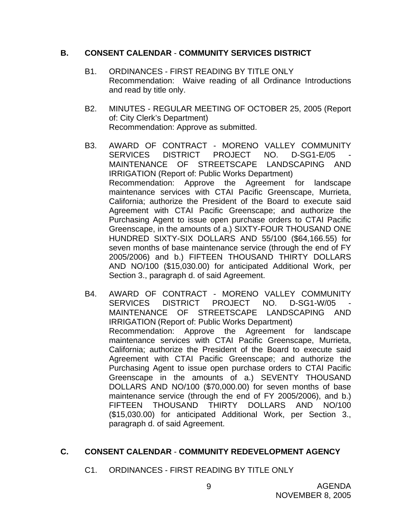#### **B. CONSENT CALENDAR** - **COMMUNITY SERVICES DISTRICT**

- B1. ORDINANCES FIRST READING BY TITLE ONLY Recommendation: Waive reading of all Ordinance Introductions and read by title only.
- B2. MINUTES REGULAR MEETING OF OCTOBER 25, 2005 (Report of: City Clerk's Department) Recommendation: Approve as submitted.
- B3. AWARD OF CONTRACT MORENO VALLEY COMMUNITY SERVICES DISTRICT PROJECT NO. D-SG1-E/05 MAINTENANCE OF STREETSCAPE LANDSCAPING AND IRRIGATION (Report of: Public Works Department) Recommendation: Approve the Agreement for landscape maintenance services with CTAI Pacific Greenscape, Murrieta, California; authorize the President of the Board to execute said Agreement with CTAI Pacific Greenscape; and authorize the Purchasing Agent to issue open purchase orders to CTAI Pacific Greenscape, in the amounts of a.) SIXTY-FOUR THOUSAND ONE HUNDRED SIXTY-SIX DOLLARS AND 55/100 (\$64,166.55) for seven months of base maintenance service (through the end of FY 2005/2006) and b.) FIFTEEN THOUSAND THIRTY DOLLARS AND NO/100 (\$15,030.00) for anticipated Additional Work, per Section 3., paragraph d. of said Agreement.
- B4. AWARD OF CONTRACT MORENO VALLEY COMMUNITY SERVICES DISTRICT PROJECT NO. D-SG1-W/05 MAINTENANCE OF STREETSCAPE LANDSCAPING AND IRRIGATION (Report of: Public Works Department) Recommendation: Approve the Agreement for landscape maintenance services with CTAI Pacific Greenscape, Murrieta, California; authorize the President of the Board to execute said Agreement with CTAI Pacific Greenscape; and authorize the Purchasing Agent to issue open purchase orders to CTAI Pacific Greenscape in the amounts of a.) SEVENTY THOUSAND DOLLARS AND NO/100 (\$70,000.00) for seven months of base maintenance service (through the end of FY 2005/2006), and b.) FIFTEEN THOUSAND THIRTY DOLLARS AND NO/100 (\$15,030.00) for anticipated Additional Work, per Section 3., paragraph d. of said Agreement.

# **C. CONSENT CALENDAR** - **COMMUNITY REDEVELOPMENT AGENCY**

C1. ORDINANCES - FIRST READING BY TITLE ONLY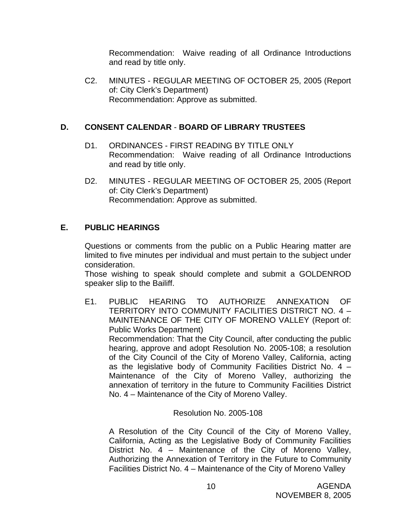Recommendation: Waive reading of all Ordinance Introductions and read by title only.

C2. MINUTES - REGULAR MEETING OF OCTOBER 25, 2005 (Report of: City Clerk's Department) Recommendation: Approve as submitted.

# **D. CONSENT CALENDAR** - **BOARD OF LIBRARY TRUSTEES**

- D1. ORDINANCES FIRST READING BY TITLE ONLY Recommendation: Waive reading of all Ordinance Introductions and read by title only.
- D2. MINUTES REGULAR MEETING OF OCTOBER 25, 2005 (Report of: City Clerk's Department) Recommendation: Approve as submitted.

# **E. PUBLIC HEARINGS**

Questions or comments from the public on a Public Hearing matter are limited to five minutes per individual and must pertain to the subject under consideration.

 Those wishing to speak should complete and submit a GOLDENROD speaker slip to the Bailiff.

E1. PUBLIC HEARING TO AUTHORIZE ANNEXATION OF TERRITORY INTO COMMUNITY FACILITIES DISTRICT NO. 4 – MAINTENANCE OF THE CITY OF MORENO VALLEY (Report of: Public Works Department) Recommendation: That the City Council, after conducting the public hearing, approve and adopt Resolution No. 2005-108; a resolution of the City Council of the City of Moreno Valley, California, acting as the legislative body of Community Facilities District No. 4 – Maintenance of the City of Moreno Valley, authorizing the annexation of territory in the future to Community Facilities District

# Resolution No. 2005-108

No. 4 – Maintenance of the City of Moreno Valley.

A Resolution of the City Council of the City of Moreno Valley, California, Acting as the Legislative Body of Community Facilities District No. 4 – Maintenance of the City of Moreno Valley, Authorizing the Annexation of Territory in the Future to Community Facilities District No. 4 – Maintenance of the City of Moreno Valley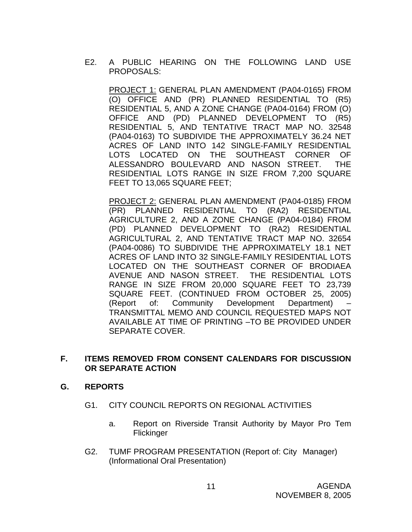E2. A PUBLIC HEARING ON THE FOLLOWING LAND USE PROPOSALS:

PROJECT 1: GENERAL PLAN AMENDMENT (PA04-0165) FROM (O) OFFICE AND (PR) PLANNED RESIDENTIAL TO (R5) RESIDENTIAL 5, AND A ZONE CHANGE (PA04-0164) FROM (O) OFFICE AND (PD) PLANNED DEVELOPMENT TO (R5) RESIDENTIAL 5, AND TENTATIVE TRACT MAP NO. 32548 (PA04-0163) TO SUBDIVIDE THE APPROXIMATELY 36.24 NET ACRES OF LAND INTO 142 SINGLE-FAMILY RESIDENTIAL LOTS LOCATED ON THE SOUTHEAST CORNER OF ALESSANDRO BOULEVARD AND NASON STREET. THE RESIDENTIAL LOTS RANGE IN SIZE FROM 7,200 SQUARE FEET TO 13,065 SQUARE FEET;

PROJECT 2: GENERAL PLAN AMENDMENT (PA04-0185) FROM (PR) PLANNED RESIDENTIAL TO (RA2) RESIDENTIAL AGRICULTURE 2, AND A ZONE CHANGE (PA04-0184) FROM (PD) PLANNED DEVELOPMENT TO (RA2) RESIDENTIAL AGRICULTURAL 2, AND TENTATIVE TRACT MAP NO. 32654 (PA04-0086) TO SUBDIVIDE THE APPROXIMATELY 18.1 NET ACRES OF LAND INTO 32 SINGLE-FAMILY RESIDENTIAL LOTS LOCATED ON THE SOUTHEAST CORNER OF BRODIAEA AVENUE AND NASON STREET. THE RESIDENTIAL LOTS RANGE IN SIZE FROM 20,000 SQUARE FEET TO 23,739 SQUARE FEET. (CONTINUED FROM OCTOBER 25, 2005) (Report of: Community Development Department) – TRANSMITTAL MEMO AND COUNCIL REQUESTED MAPS NOT AVAILABLE AT TIME OF PRINTING –TO BE PROVIDED UNDER SEPARATE COVER.

### **F. ITEMS REMOVED FROM CONSENT CALENDARS FOR DISCUSSION OR SEPARATE ACTION**

### **G. REPORTS**

- G1. CITY COUNCIL REPORTS ON REGIONAL ACTIVITIES
	- a. Report on Riverside Transit Authority by Mayor Pro Tem **Flickinger**
- G2. TUMF PROGRAM PRESENTATION (Report of: City Manager) (Informational Oral Presentation)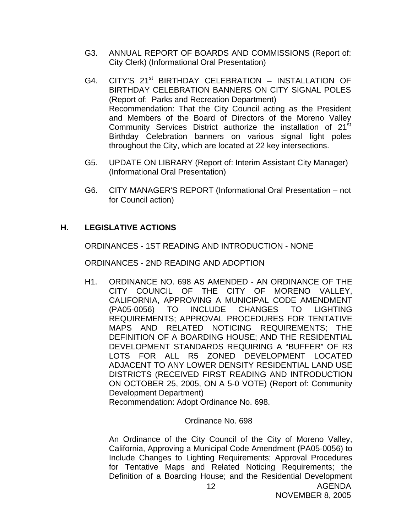- G3. ANNUAL REPORT OF BOARDS AND COMMISSIONS (Report of: City Clerk) (Informational Oral Presentation)
- G4. CITY'S 21<sup>st</sup> BIRTHDAY CELEBRATION INSTALLATION OF BIRTHDAY CELEBRATION BANNERS ON CITY SIGNAL POLES (Report of: Parks and Recreation Department) Recommendation: That the City Council acting as the President and Members of the Board of Directors of the Moreno Valley Community Services District authorize the installation of 21<sup>st</sup> Birthday Celebration banners on various signal light poles throughout the City, which are located at 22 key intersections.
- G5. UPDATE ON LIBRARY (Report of: Interim Assistant City Manager) (Informational Oral Presentation)
- G6. CITY MANAGER'S REPORT (Informational Oral Presentation not for Council action)

# **H. LEGISLATIVE ACTIONS**

ORDINANCES - 1ST READING AND INTRODUCTION - NONE

ORDINANCES - 2ND READING AND ADOPTION

H1. ORDINANCE NO. 698 AS AMENDED - AN ORDINANCE OF THE CITY COUNCIL OF THE CITY OF MORENO VALLEY, CALIFORNIA, APPROVING A MUNICIPAL CODE AMENDMENT (PA05-0056) TO INCLUDE CHANGES TO LIGHTING REQUIREMENTS; APPROVAL PROCEDURES FOR TENTATIVE MAPS AND RELATED NOTICING REQUIREMENTS; THE DEFINITION OF A BOARDING HOUSE; AND THE RESIDENTIAL DEVELOPMENT STANDARDS REQUIRING A "BUFFER" OF R3 LOTS FOR ALL R5 ZONED DEVELOPMENT LOCATED ADJACENT TO ANY LOWER DENSITY RESIDENTIAL LAND USE DISTRICTS (RECEIVED FIRST READING AND INTRODUCTION ON OCTOBER 25, 2005, ON A 5-0 VOTE) (Report of: Community Development Department)

Recommendation: Adopt Ordinance No. 698.

### Ordinance No. 698

AGENDA An Ordinance of the City Council of the City of Moreno Valley, California, Approving a Municipal Code Amendment (PA05-0056) to Include Changes to Lighting Requirements; Approval Procedures for Tentative Maps and Related Noticing Requirements; the Definition of a Boarding House; and the Residential Development

NOVEMBER 8, 2005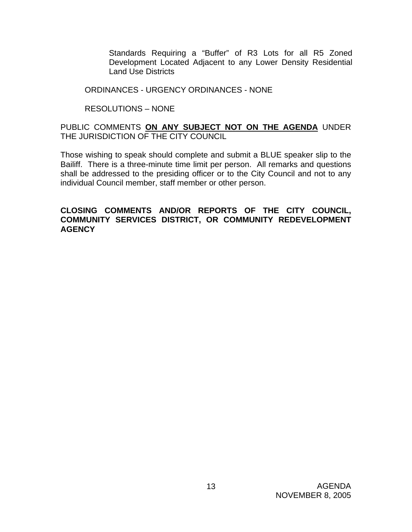Standards Requiring a "Buffer" of R3 Lots for all R5 Zoned Development Located Adjacent to any Lower Density Residential Land Use Districts

#### ORDINANCES - URGENCY ORDINANCES - NONE

### RESOLUTIONS – NONE

### PUBLIC COMMENTS **ON ANY SUBJECT NOT ON THE AGENDA** UNDER THE JURISDICTION OF THE CITY COUNCIL

Those wishing to speak should complete and submit a BLUE speaker slip to the Bailiff. There is a three-minute time limit per person. All remarks and questions shall be addressed to the presiding officer or to the City Council and not to any individual Council member, staff member or other person.

#### **CLOSING COMMENTS AND/OR REPORTS OF THE CITY COUNCIL, COMMUNITY SERVICES DISTRICT, OR COMMUNITY REDEVELOPMENT AGENCY**